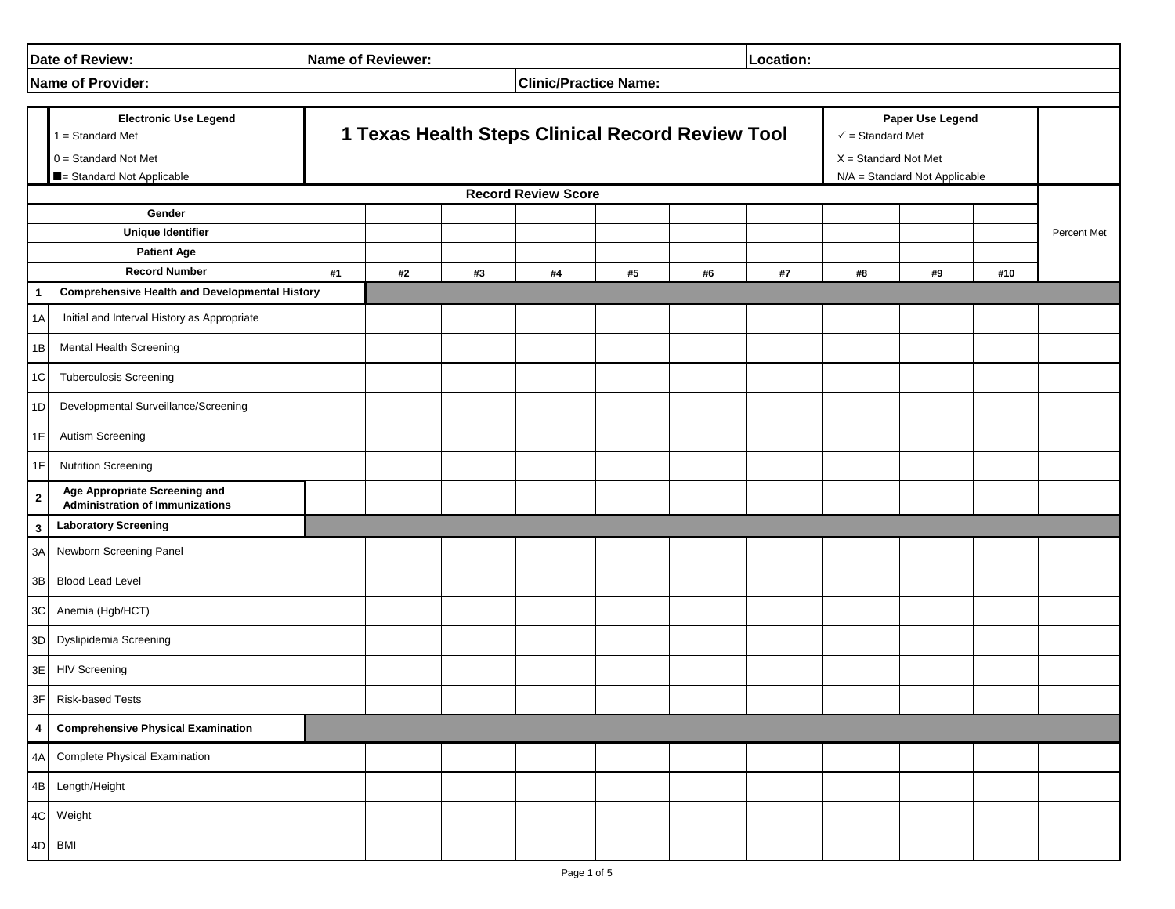| Date of Review:                                                            |                                                                         | <b>Name of Reviewer:</b>                                    |  |  |  |  |  | Location: |                                                                           |    |     |             |
|----------------------------------------------------------------------------|-------------------------------------------------------------------------|-------------------------------------------------------------|--|--|--|--|--|-----------|---------------------------------------------------------------------------|----|-----|-------------|
|                                                                            | Name of Provider:                                                       | <b>Clinic/Practice Name:</b>                                |  |  |  |  |  |           |                                                                           |    |     |             |
| <b>Electronic Use Legend</b><br>1 = Standard Met<br>$0 =$ Standard Not Met |                                                                         | 1 Texas Health Steps Clinical Record Review Tool            |  |  |  |  |  |           | Paper Use Legend<br>$\checkmark$ = Standard Met<br>$X = Standard Not Met$ |    |     |             |
|                                                                            | Standard Not Applicable                                                 | N/A = Standard Not Applicable<br><b>Record Review Score</b> |  |  |  |  |  |           |                                                                           |    |     |             |
|                                                                            | Gender                                                                  |                                                             |  |  |  |  |  |           |                                                                           |    |     |             |
| <b>Unique Identifier</b>                                                   |                                                                         |                                                             |  |  |  |  |  |           |                                                                           |    |     | Percent Met |
| <b>Patient Age</b><br><b>Record Number</b>                                 |                                                                         |                                                             |  |  |  |  |  |           |                                                                           | #9 | #10 |             |
|                                                                            | <b>Comprehensive Health and Developmental History</b>                   | #1<br>#2<br>#3<br>#4<br>#5<br>#6<br>#7                      |  |  |  |  |  |           | #8                                                                        |    |     |             |
| 1A                                                                         | Initial and Interval History as Appropriate                             |                                                             |  |  |  |  |  |           |                                                                           |    |     |             |
| 1B                                                                         | Mental Health Screening                                                 |                                                             |  |  |  |  |  |           |                                                                           |    |     |             |
| 1C                                                                         | <b>Tuberculosis Screening</b>                                           |                                                             |  |  |  |  |  |           |                                                                           |    |     |             |
| 1 <sub>D</sub>                                                             | Developmental Surveillance/Screening                                    |                                                             |  |  |  |  |  |           |                                                                           |    |     |             |
| 1E                                                                         | Autism Screening                                                        |                                                             |  |  |  |  |  |           |                                                                           |    |     |             |
| 1F                                                                         | <b>Nutrition Screening</b>                                              |                                                             |  |  |  |  |  |           |                                                                           |    |     |             |
| $\mathbf{2}$                                                               | Age Appropriate Screening and<br><b>Administration of Immunizations</b> |                                                             |  |  |  |  |  |           |                                                                           |    |     |             |
| 3                                                                          | <b>Laboratory Screening</b>                                             |                                                             |  |  |  |  |  |           |                                                                           |    |     |             |
| 3A                                                                         | Newborn Screening Panel                                                 |                                                             |  |  |  |  |  |           |                                                                           |    |     |             |
| $3\mathsf{B}$                                                              | <b>Blood Lead Level</b>                                                 |                                                             |  |  |  |  |  |           |                                                                           |    |     |             |
| 3C                                                                         | Anemia (Hgb/HCT)                                                        |                                                             |  |  |  |  |  |           |                                                                           |    |     |             |
| 3D                                                                         | Dyslipidemia Screening                                                  |                                                             |  |  |  |  |  |           |                                                                           |    |     |             |
| 3E                                                                         | <b>HIV Screening</b>                                                    |                                                             |  |  |  |  |  |           |                                                                           |    |     |             |
| 3F                                                                         | <b>Risk-based Tests</b>                                                 |                                                             |  |  |  |  |  |           |                                                                           |    |     |             |
| 4                                                                          | <b>Comprehensive Physical Examination</b>                               |                                                             |  |  |  |  |  |           |                                                                           |    |     |             |
| 4A                                                                         | <b>Complete Physical Examination</b>                                    |                                                             |  |  |  |  |  |           |                                                                           |    |     |             |
| 4B                                                                         | Length/Height                                                           |                                                             |  |  |  |  |  |           |                                                                           |    |     |             |
| 4C                                                                         | Weight                                                                  |                                                             |  |  |  |  |  |           |                                                                           |    |     |             |
|                                                                            | 4D BMI                                                                  |                                                             |  |  |  |  |  |           |                                                                           |    |     |             |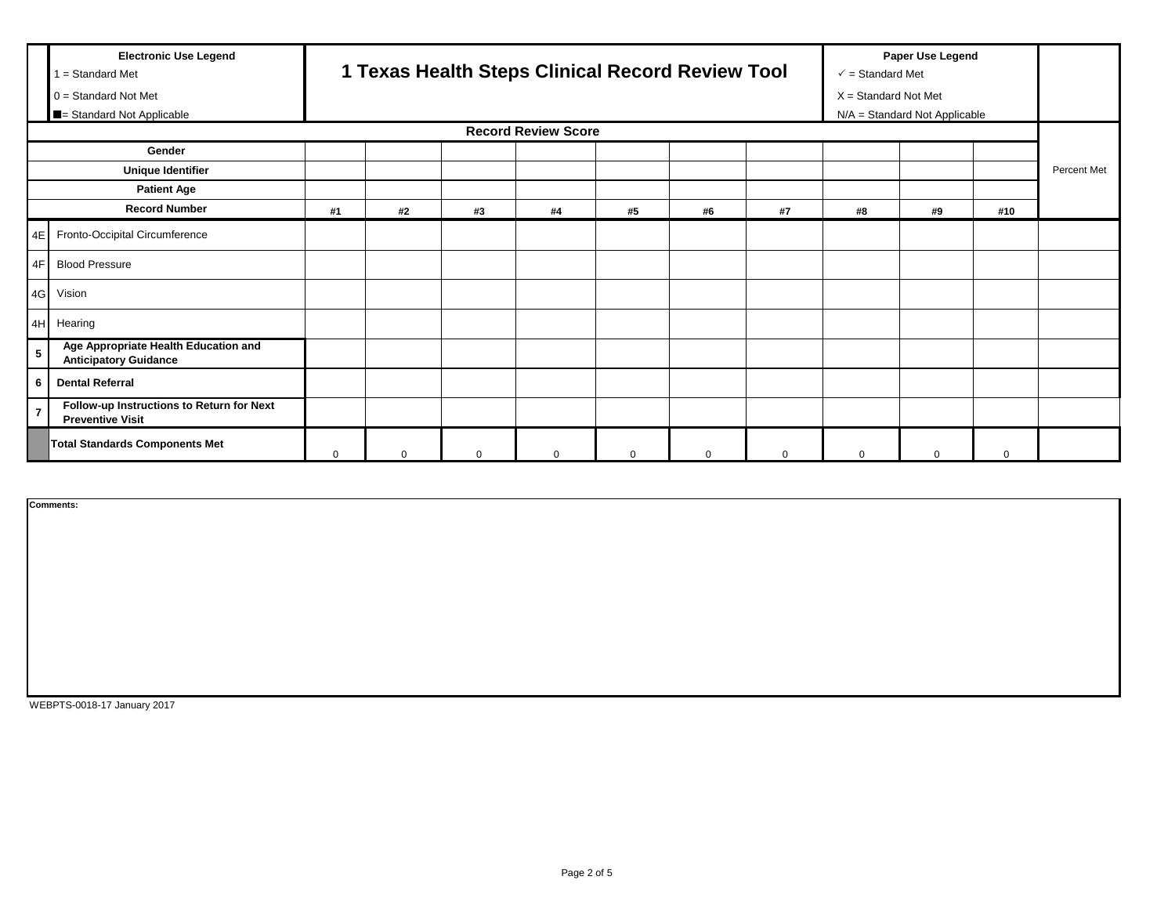|                                                                  | <b>Electronic Use Legend</b><br>$1 = Standard Met$<br>$0 = Standard Not Met$ | 1 Texas Health Steps Clinical Record Review Tool |          |          |          |          |          |             | Paper Use Legend<br>$\checkmark$ = Standard Met<br>$X = Standard Not Met$ |          |             |             |
|------------------------------------------------------------------|------------------------------------------------------------------------------|--------------------------------------------------|----------|----------|----------|----------|----------|-------------|---------------------------------------------------------------------------|----------|-------------|-------------|
| <b>E</b> = Standard Not Applicable<br><b>Record Review Score</b> |                                                                              |                                                  |          |          |          |          |          |             | N/A = Standard Not Applicable                                             |          |             |             |
|                                                                  | Gender                                                                       |                                                  |          |          |          |          |          |             |                                                                           |          |             |             |
| <b>Unique Identifier</b>                                         |                                                                              |                                                  |          |          |          |          |          |             |                                                                           |          |             | Percent Met |
|                                                                  | <b>Patient Age</b>                                                           |                                                  |          |          |          |          |          |             |                                                                           |          |             |             |
|                                                                  | <b>Record Number</b>                                                         | #1                                               | #2       | #3       | #4       | #5       | #6       | #7          | #8                                                                        | #9       | #10         |             |
|                                                                  | 4E Fronto-Occipital Circumference                                            |                                                  |          |          |          |          |          |             |                                                                           |          |             |             |
|                                                                  | 4F Blood Pressure                                                            |                                                  |          |          |          |          |          |             |                                                                           |          |             |             |
|                                                                  | 4G Vision                                                                    |                                                  |          |          |          |          |          |             |                                                                           |          |             |             |
|                                                                  | 4H Hearing                                                                   |                                                  |          |          |          |          |          |             |                                                                           |          |             |             |
| 5                                                                | Age Appropriate Health Education and<br><b>Anticipatory Guidance</b>         |                                                  |          |          |          |          |          |             |                                                                           |          |             |             |
| 6                                                                | <b>Dental Referral</b>                                                       |                                                  |          |          |          |          |          |             |                                                                           |          |             |             |
| 7                                                                | Follow-up Instructions to Return for Next<br><b>Preventive Visit</b>         |                                                  |          |          |          |          |          |             |                                                                           |          |             |             |
|                                                                  | <b>Total Standards Components Met</b>                                        | $\Omega$                                         | $\Omega$ | $\Omega$ | $\Omega$ | $\Omega$ | $\Omega$ | $\mathbf 0$ | $\mathbf 0$                                                               | $\Omega$ | $\mathbf 0$ |             |

**Comments:**

WEBPTS-0018-17 January 2017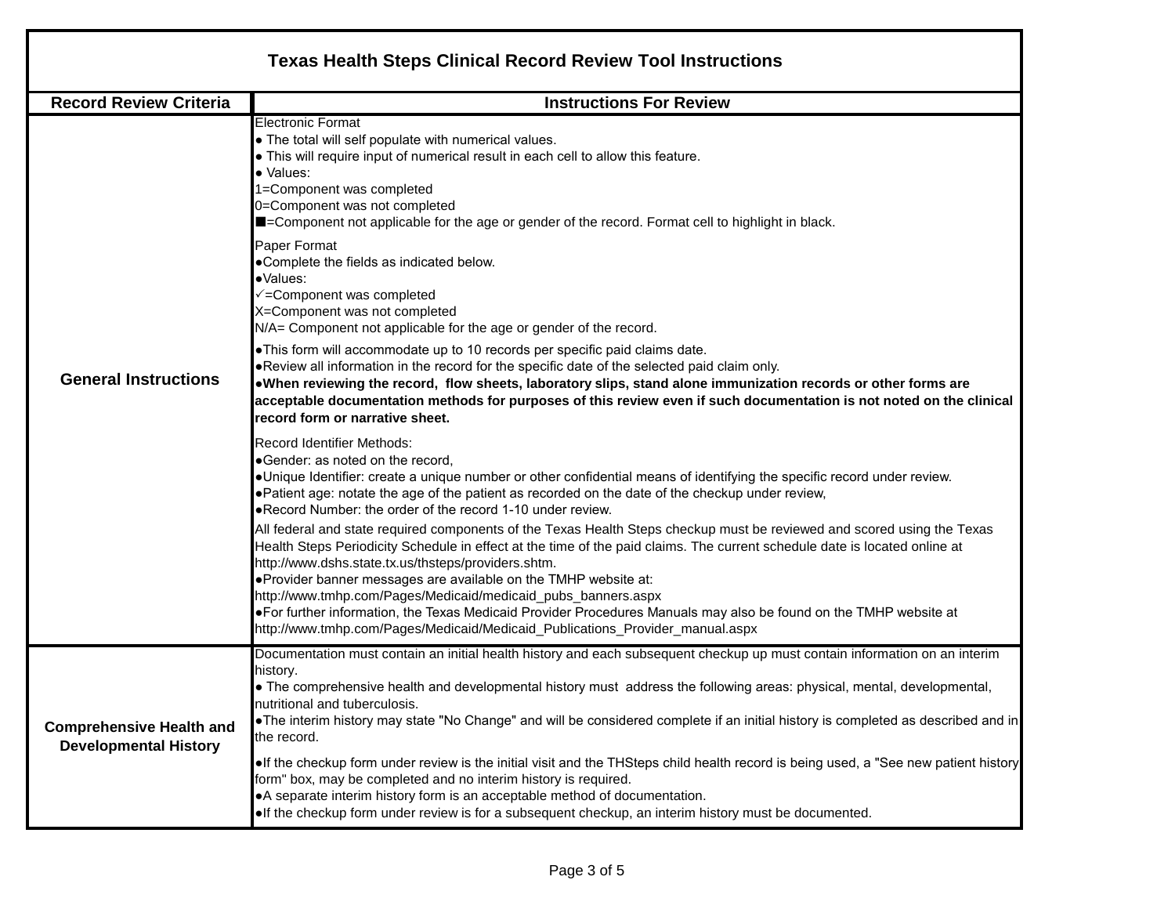| <b>Texas Health Steps Clinical Record Review Tool Instructions</b>                                                                                                                                                                                                                                                                                                                                                                                                                                                                                                                                                                                                                                                                                                                                                                                                                                                                                                                                                                 |  |  |  |  |  |  |  |  |
|------------------------------------------------------------------------------------------------------------------------------------------------------------------------------------------------------------------------------------------------------------------------------------------------------------------------------------------------------------------------------------------------------------------------------------------------------------------------------------------------------------------------------------------------------------------------------------------------------------------------------------------------------------------------------------------------------------------------------------------------------------------------------------------------------------------------------------------------------------------------------------------------------------------------------------------------------------------------------------------------------------------------------------|--|--|--|--|--|--|--|--|
| <b>Instructions For Review</b>                                                                                                                                                                                                                                                                                                                                                                                                                                                                                                                                                                                                                                                                                                                                                                                                                                                                                                                                                                                                     |  |  |  |  |  |  |  |  |
| <b>Electronic Format</b><br>• The total will self populate with numerical values.<br>• This will require input of numerical result in each cell to allow this feature.<br>· Values:<br>1=Component was completed<br>0=Component was not completed<br>■=Component not applicable for the age or gender of the record. Format cell to highlight in black.<br>Paper Format<br>.Complete the fields as indicated below.<br>·Values:<br>√=Component was completed<br>X=Component was not completed<br>N/A= Component not applicable for the age or gender of the record.<br>. This form will accommodate up to 10 records per specific paid claims date.<br>• Review all information in the record for the specific date of the selected paid claim only.<br>. When reviewing the record, flow sheets, laboratory slips, stand alone immunization records or other forms are<br>acceptable documentation methods for purposes of this review even if such documentation is not noted on the clinical<br>record form or narrative sheet. |  |  |  |  |  |  |  |  |
| <b>Record Identifier Methods:</b><br>•Gender: as noted on the record,<br>•Unique Identifier: create a unique number or other confidential means of identifying the specific record under review.<br>• Patient age: notate the age of the patient as recorded on the date of the checkup under review,<br>• Record Number: the order of the record 1-10 under review.<br>All federal and state required components of the Texas Health Steps checkup must be reviewed and scored using the Texas<br>Health Steps Periodicity Schedule in effect at the time of the paid claims. The current schedule date is located online at<br>http://www.dshs.state.tx.us/thsteps/providers.shtm.<br>.Provider banner messages are available on the TMHP website at:<br>http://www.tmhp.com/Pages/Medicaid/medicaid_pubs_banners.aspx<br>•For further information, the Texas Medicaid Provider Procedures Manuals may also be found on the TMHP website at<br>http://www.tmhp.com/Pages/Medicaid/Medicaid_Publications_Provider_manual.aspx     |  |  |  |  |  |  |  |  |
| Documentation must contain an initial health history and each subsequent checkup up must contain information on an interim<br>history.<br>• The comprehensive health and developmental history must address the following areas: physical, mental, developmental,<br>nutritional and tuberculosis.<br>. The interim history may state "No Change" and will be considered complete if an initial history is completed as described and in<br>the record.<br>. If the checkup form under review is the initial visit and the THSteps child health record is being used, a "See new patient history<br>form" box, may be completed and no interim history is required.<br>• A separate interim history form is an acceptable method of documentation.                                                                                                                                                                                                                                                                                 |  |  |  |  |  |  |  |  |
|                                                                                                                                                                                                                                                                                                                                                                                                                                                                                                                                                                                                                                                                                                                                                                                                                                                                                                                                                                                                                                    |  |  |  |  |  |  |  |  |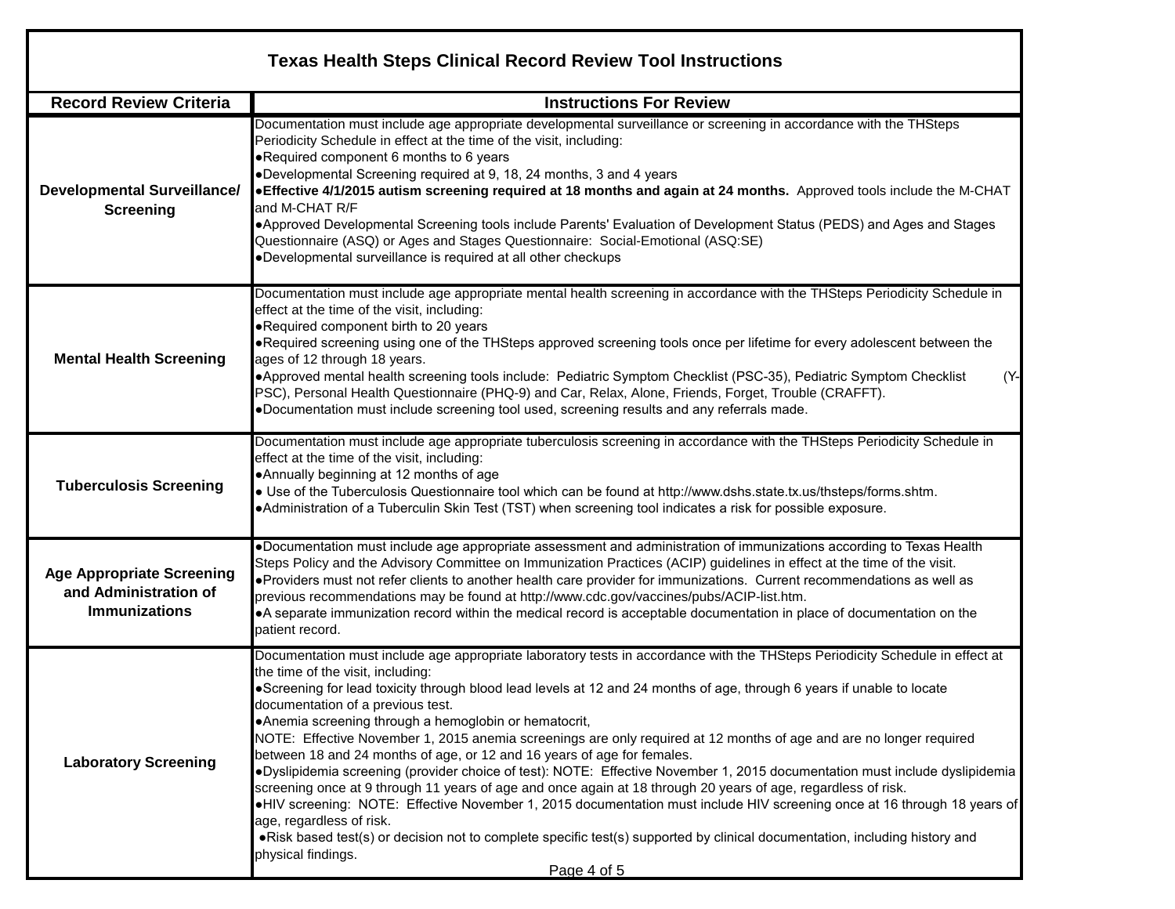| <b>Texas Health Steps Clinical Record Review Tool Instructions</b>                |                                                                                                                                                                                                                                                                                                                                                                                                                                                                                                                                                                                                                                                                                                                                                                                                                                                                                                                                                                                                                                                                                                                                                                          |  |  |  |  |  |  |
|-----------------------------------------------------------------------------------|--------------------------------------------------------------------------------------------------------------------------------------------------------------------------------------------------------------------------------------------------------------------------------------------------------------------------------------------------------------------------------------------------------------------------------------------------------------------------------------------------------------------------------------------------------------------------------------------------------------------------------------------------------------------------------------------------------------------------------------------------------------------------------------------------------------------------------------------------------------------------------------------------------------------------------------------------------------------------------------------------------------------------------------------------------------------------------------------------------------------------------------------------------------------------|--|--|--|--|--|--|
| <b>Record Review Criteria</b>                                                     | <b>Instructions For Review</b>                                                                                                                                                                                                                                                                                                                                                                                                                                                                                                                                                                                                                                                                                                                                                                                                                                                                                                                                                                                                                                                                                                                                           |  |  |  |  |  |  |
| <b>Developmental Surveillance/</b><br><b>Screening</b>                            | Documentation must include age appropriate developmental surveillance or screening in accordance with the THSteps<br>Periodicity Schedule in effect at the time of the visit, including:<br>. Required component 6 months to 6 years<br>•Developmental Screening required at 9, 18, 24 months, 3 and 4 years<br>. Effective 4/1/2015 autism screening required at 18 months and again at 24 months. Approved tools include the M-CHAT<br>and M-CHAT R/F<br>. Approved Developmental Screening tools include Parents' Evaluation of Development Status (PEDS) and Ages and Stages<br>Questionnaire (ASQ) or Ages and Stages Questionnaire: Social-Emotional (ASQ:SE)<br>•Developmental surveillance is required at all other checkups                                                                                                                                                                                                                                                                                                                                                                                                                                     |  |  |  |  |  |  |
| <b>Mental Health Screening</b>                                                    | Documentation must include age appropriate mental health screening in accordance with the THSteps Periodicity Schedule in<br>effect at the time of the visit, including:<br>. Required component birth to 20 years<br>•Required screening using one of the THSteps approved screening tools once per lifetime for every adolescent between the<br>ages of 12 through 18 years.<br>$(Y -$<br>•Approved mental health screening tools include: Pediatric Symptom Checklist (PSC-35), Pediatric Symptom Checklist<br>PSC), Personal Health Questionnaire (PHQ-9) and Car, Relax, Alone, Friends, Forget, Trouble (CRAFFT).<br>.Documentation must include screening tool used, screening results and any referrals made.                                                                                                                                                                                                                                                                                                                                                                                                                                                    |  |  |  |  |  |  |
| <b>Tuberculosis Screening</b>                                                     | Documentation must include age appropriate tuberculosis screening in accordance with the THSteps Periodicity Schedule in<br>effect at the time of the visit, including:<br>•Annually beginning at 12 months of age<br>. Use of the Tuberculosis Questionnaire tool which can be found at http://www.dshs.state.tx.us/thsteps/forms.shtm.<br>. Administration of a Tuberculin Skin Test (TST) when screening tool indicates a risk for possible exposure.                                                                                                                                                                                                                                                                                                                                                                                                                                                                                                                                                                                                                                                                                                                 |  |  |  |  |  |  |
| <b>Age Appropriate Screening</b><br>and Administration of<br><b>Immunizations</b> | .Documentation must include age appropriate assessment and administration of immunizations according to Texas Health<br>Steps Policy and the Advisory Committee on Immunization Practices (ACIP) guidelines in effect at the time of the visit.<br>. Providers must not refer clients to another health care provider for immunizations. Current recommendations as well as<br>previous recommendations may be found at http://www.cdc.gov/vaccines/pubs/ACIP-list.htm.<br>•A separate immunization record within the medical record is acceptable documentation in place of documentation on the<br>patient record.                                                                                                                                                                                                                                                                                                                                                                                                                                                                                                                                                     |  |  |  |  |  |  |
| <b>Laboratory Screening</b>                                                       | Documentation must include age appropriate laboratory tests in accordance with the THSteps Periodicity Schedule in effect at<br>the time of the visit, including:<br>•Screening for lead toxicity through blood lead levels at 12 and 24 months of age, through 6 years if unable to locate<br>documentation of a previous test.<br>•Anemia screening through a hemoglobin or hematocrit,<br>NOTE: Effective November 1, 2015 anemia screenings are only required at 12 months of age and are no longer required<br>between 18 and 24 months of age, or 12 and 16 years of age for females.<br>·Dyslipidemia screening (provider choice of test): NOTE: Effective November 1, 2015 documentation must include dyslipidemia<br>screening once at 9 through 11 years of age and once again at 18 through 20 years of age, regardless of risk.<br>•HIV screening: NOTE: Effective November 1, 2015 documentation must include HIV screening once at 16 through 18 years of<br>age, regardless of risk.<br>• Risk based test(s) or decision not to complete specific test(s) supported by clinical documentation, including history and<br>physical findings.<br>Page 4 of 5 |  |  |  |  |  |  |